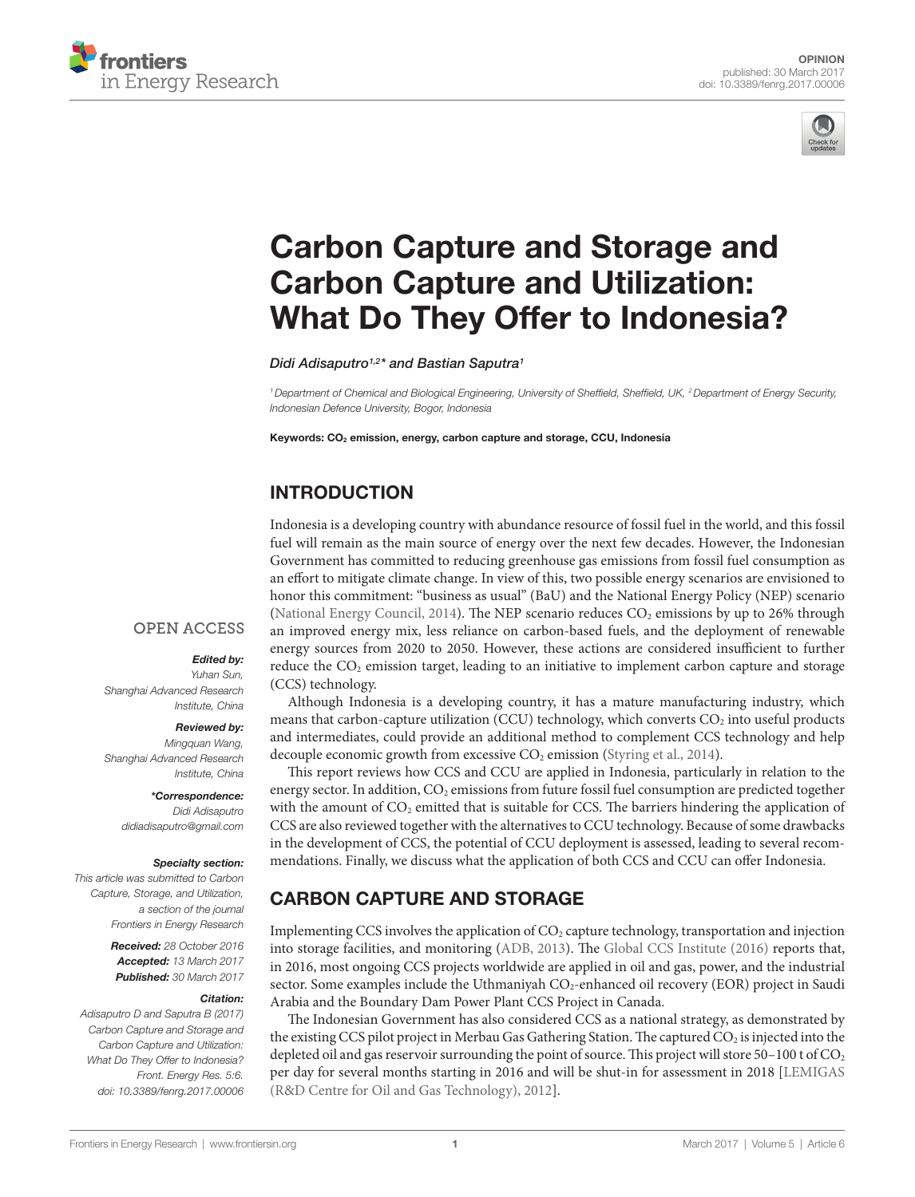



# [Carbon Capture and Storage and](http://www.frontiersin.org/Journal/10.3389/fenrg.2017.00006/abstract)  [Carbon Capture and Utilization:](http://www.frontiersin.org/Journal/10.3389/fenrg.2017.00006/abstract)  What Do They Offer to Indonesia?

*[Didi Adisaputro](http://loop.frontiersin.org/people/358631)1,2\* and [Bastian Saputra](http://loop.frontiersin.org/people/424488)1*

*1Department of Chemical and Biological Engineering, University of Sheffield, Sheffield, UK, 2Department of Energy Security, Indonesian Defence University, Bogor, Indonesia*

Keywords: CO<sub>2</sub> emission, energy, carbon capture and storage, CCU, Indonesia

# INTRODUCTION

Indonesia is a developing country with abundance resource of fossil fuel in the world, and this fossil fuel will remain as the main source of energy over the next few decades. However, the Indonesian Government has committed to reducing greenhouse gas emissions from fossil fuel consumption as an effort to mitigate climate change. In view of this, two possible energy scenarios are envisioned to honor this commitment: "business as usual" (BaU) and the National Energy Policy (NEP) scenario [\(National Energy Council, 2014](#page-3-0)). The NEP scenario reduces  $CO<sub>2</sub>$  emissions by up to 26% through an improved energy mix, less reliance on carbon-based fuels, and the deployment of renewable energy sources from 2020 to 2050. However, these actions are considered insufficient to further reduce the CO<sub>2</sub> emission target, leading to an initiative to implement carbon capture and storage (CCS) technology.

Although Indonesia is a developing country, it has a mature manufacturing industry, which means that carbon-capture utilization (CCU) technology, which converts CO<sub>2</sub> into useful products and intermediates, could provide an additional method to complement CCS technology and help decouple economic growth from excessive  $CO<sub>2</sub>$  emission [\(Styring et al., 2014](#page-3-1)).

This report reviews how CCS and CCU are applied in Indonesia, particularly in relation to the energy sector. In addition, CO<sub>2</sub> emissions from future fossil fuel consumption are predicted together with the amount of  $CO<sub>2</sub>$  emitted that is suitable for CCS. The barriers hindering the application of CCS are also reviewed together with the alternatives to CCU technology. Because of some drawbacks in the development of CCS, the potential of CCU deployment is assessed, leading to several recommendations. Finally, we discuss what the application of both CCS and CCU can offer Indonesia.

# CARBON CAPTURE AND STORAGE

Implementing CCS involves the application of  $CO<sub>2</sub>$  capture technology, transportation and injection into storage facilities, and monitoring [\(ADB, 2013](#page-3-2)). The [Global CCS Institute \(2016\)](#page-3-3) reports that, in 2016, most ongoing CCS projects worldwide are applied in oil and gas, power, and the industrial sector. Some examples include the Uthmaniyah  $CO<sub>2</sub>$ -enhanced oil recovery (EOR) project in Saudi Arabia and the Boundary Dam Power Plant CCS Project in Canada.

The Indonesian Government has also considered CCS as a national strategy, as demonstrated by the existing CCS pilot project in Merbau Gas Gathering Station. The captured CO<sub>2</sub> is injected into the depleted oil and gas reservoir surrounding the point of source. This project will store 50-100 t of CO<sub>2</sub> per day for several months starting in 2016 and will be shut-in for assessment in 2018 [[LEMIGAS](#page-3-4)  [\(R&D Centre for Oil and Gas Technology\), 2012](#page-3-4)].

#### **OPEN ACCESS**

#### *Edited by:*

*Yuhan Sun, Shanghai Advanced Research Institute, China*

#### *Reviewed by:*

*Mingquan Wang, Shanghai Advanced Research Institute, China*

> *\*Correspondence: Didi Adisaputro [didiadisaputro@gmail.com](mailto:didiadisaputro@gmail.com)*

#### *Specialty section:*

*This article was submitted to Carbon Capture, Storage, and Utilization, a section of the journal Frontiers in Energy Research*

> *Received: 28 October 2016 Accepted: 13 March 2017 Published: 30 March 2017*

#### *Citation:*

*Adisaputro D and Saputra B (2017) Carbon Capture and Storage and Carbon Capture and Utilization: What Do They Offer to Indonesia? Front. Energy Res. 5:6. doi: [10.3389/fenrg.2017.00006](https://doi.org/10.3389/fenrg.2017.00006)*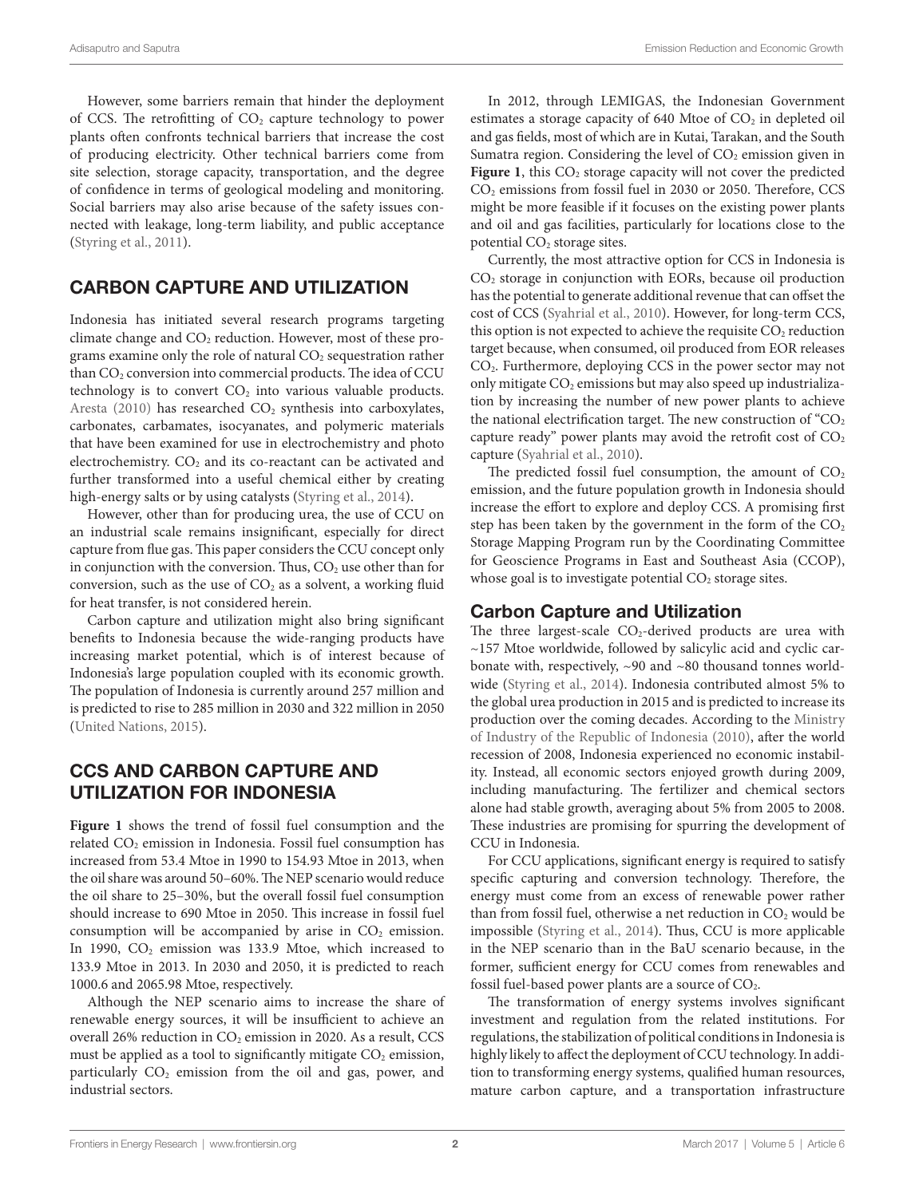However, some barriers remain that hinder the deployment of CCS. The retrofitting of  $CO<sub>2</sub>$  capture technology to power plants often confronts technical barriers that increase the cost of producing electricity. Other technical barriers come from site selection, storage capacity, transportation, and the degree of confidence in terms of geological modeling and monitoring. Social barriers may also arise because of the safety issues connected with leakage, long-term liability, and public acceptance ([Styring et al., 2011\)](#page-3-5).

### CARBON CAPTURE AND UTILIZATION

Indonesia has initiated several research programs targeting climate change and  $CO<sub>2</sub>$  reduction. However, most of these programs examine only the role of natural  $CO<sub>2</sub>$  sequestration rather than CO<sub>2</sub> conversion into commercial products. The idea of CCU technology is to convert  $CO<sub>2</sub>$  into various valuable products. [Aresta \(2010\)](#page-3-6) has researched  $CO<sub>2</sub>$  synthesis into carboxylates, carbonates, carbamates, isocyanates, and polymeric materials that have been examined for use in electrochemistry and photo electrochemistry.  $CO<sub>2</sub>$  and its co-reactant can be activated and further transformed into a useful chemical either by creating high-energy salts or by using catalysts ([Styring et al., 2014\)](#page-3-1).

However, other than for producing urea, the use of CCU on an industrial scale remains insignificant, especially for direct capture from flue gas. This paper considers the CCU concept only in conjunction with the conversion. Thus,  $CO<sub>2</sub>$  use other than for conversion, such as the use of  $CO<sub>2</sub>$  as a solvent, a working fluid for heat transfer, is not considered herein.

Carbon capture and utilization might also bring significant benefits to Indonesia because the wide-ranging products have increasing market potential, which is of interest because of Indonesia's large population coupled with its economic growth. The population of Indonesia is currently around 257 million and is predicted to rise to 285 million in 2030 and 322 million in 2050 ([United Nations, 2015](#page-3-7)).

### CCS AND CARBON CAPTURE AND UTILIZATION FOR INDONESIA

Figure 1 shows the trend of fossil fuel consumption and the related CO<sub>2</sub> emission in Indonesia. Fossil fuel consumption has increased from 53.4 Mtoe in 1990 to 154.93 Mtoe in 2013, when the oil share was around 50–60%. The NEP scenario would reduce the oil share to 25–30%, but the overall fossil fuel consumption should increase to 690 Mtoe in 2050. This increase in fossil fuel consumption will be accompanied by arise in  $CO<sub>2</sub>$  emission. In 1990, CO<sub>2</sub> emission was 133.9 Mtoe, which increased to 133.9 Mtoe in 2013. In 2030 and 2050, it is predicted to reach 1000.6 and 2065.98 Mtoe, respectively.

Although the NEP scenario aims to increase the share of renewable energy sources, it will be insufficient to achieve an overall 26% reduction in  $CO<sub>2</sub>$  emission in 2020. As a result, CCS must be applied as a tool to significantly mitigate  $CO<sub>2</sub>$  emission, particularly  $CO<sub>2</sub>$  emission from the oil and gas, power, and industrial sectors.

In 2012, through LEMIGAS, the Indonesian Government estimates a storage capacity of 640 Mtoe of  $CO<sub>2</sub>$  in depleted oil and gas fields, most of which are in Kutai, Tarakan, and the South Sumatra region. Considering the level of  $CO<sub>2</sub>$  emission given in [Figure 1](#page-2-0), this CO<sub>2</sub> storage capacity will not cover the predicted CO<sub>2</sub> emissions from fossil fuel in 2030 or 2050. Therefore, CCS might be more feasible if it focuses on the existing power plants and oil and gas facilities, particularly for locations close to the potential  $CO<sub>2</sub>$  storage sites.

Currently, the most attractive option for CCS in Indonesia is CO2 storage in conjunction with EORs, because oil production has the potential to generate additional revenue that can offset the cost of CCS ([Syahrial et al., 2010\)](#page-3-8). However, for long-term CCS, this option is not expected to achieve the requisite  $CO<sub>2</sub>$  reduction target because, when consumed, oil produced from EOR releases CO2. Furthermore, deploying CCS in the power sector may not only mitigate  $CO<sub>2</sub>$  emissions but may also speed up industrialization by increasing the number of new power plants to achieve the national electrification target. The new construction of  $°CO<sub>2</sub>$ capture ready" power plants may avoid the retrofit cost of  $CO<sub>2</sub>$ capture ([Syahrial et al., 2010](#page-3-8)).

The predicted fossil fuel consumption, the amount of  $CO<sub>2</sub>$ emission, and the future population growth in Indonesia should increase the effort to explore and deploy CCS. A promising first step has been taken by the government in the form of the  $CO<sub>2</sub>$ Storage Mapping Program run by the Coordinating Committee for Geoscience Programs in East and Southeast Asia (CCOP), whose goal is to investigate potential  $CO<sub>2</sub>$  storage sites.

## Carbon Capture and Utilization

The three largest-scale  $CO<sub>2</sub>$ -derived products are urea with ~157 Mtoe worldwide, followed by salicylic acid and cyclic carbonate with, respectively, ~90 and ~80 thousand tonnes worldwide ([Styring et al., 2014\)](#page-3-1). Indonesia contributed almost 5% to the global urea production in 2015 and is predicted to increase its production over the coming decades. According to the [Ministry](#page-3-9)  [of Industry of the Republic of Indonesia \(2010\)](#page-3-9), after the world recession of 2008, Indonesia experienced no economic instability. Instead, all economic sectors enjoyed growth during 2009, including manufacturing. The fertilizer and chemical sectors alone had stable growth, averaging about 5% from 2005 to 2008. These industries are promising for spurring the development of CCU in Indonesia.

For CCU applications, significant energy is required to satisfy specific capturing and conversion technology. Therefore, the energy must come from an excess of renewable power rather than from fossil fuel, otherwise a net reduction in  $CO<sub>2</sub>$  would be impossible [\(Styring et al., 2014](#page-3-1)). Thus, CCU is more applicable in the NEP scenario than in the BaU scenario because, in the former, sufficient energy for CCU comes from renewables and fossil fuel-based power plants are a source of CO<sub>2</sub>.

The transformation of energy systems involves significant investment and regulation from the related institutions. For regulations, the stabilization of political conditions in Indonesia is highly likely to affect the deployment of CCU technology. In addition to transforming energy systems, qualified human resources, mature carbon capture, and a transportation infrastructure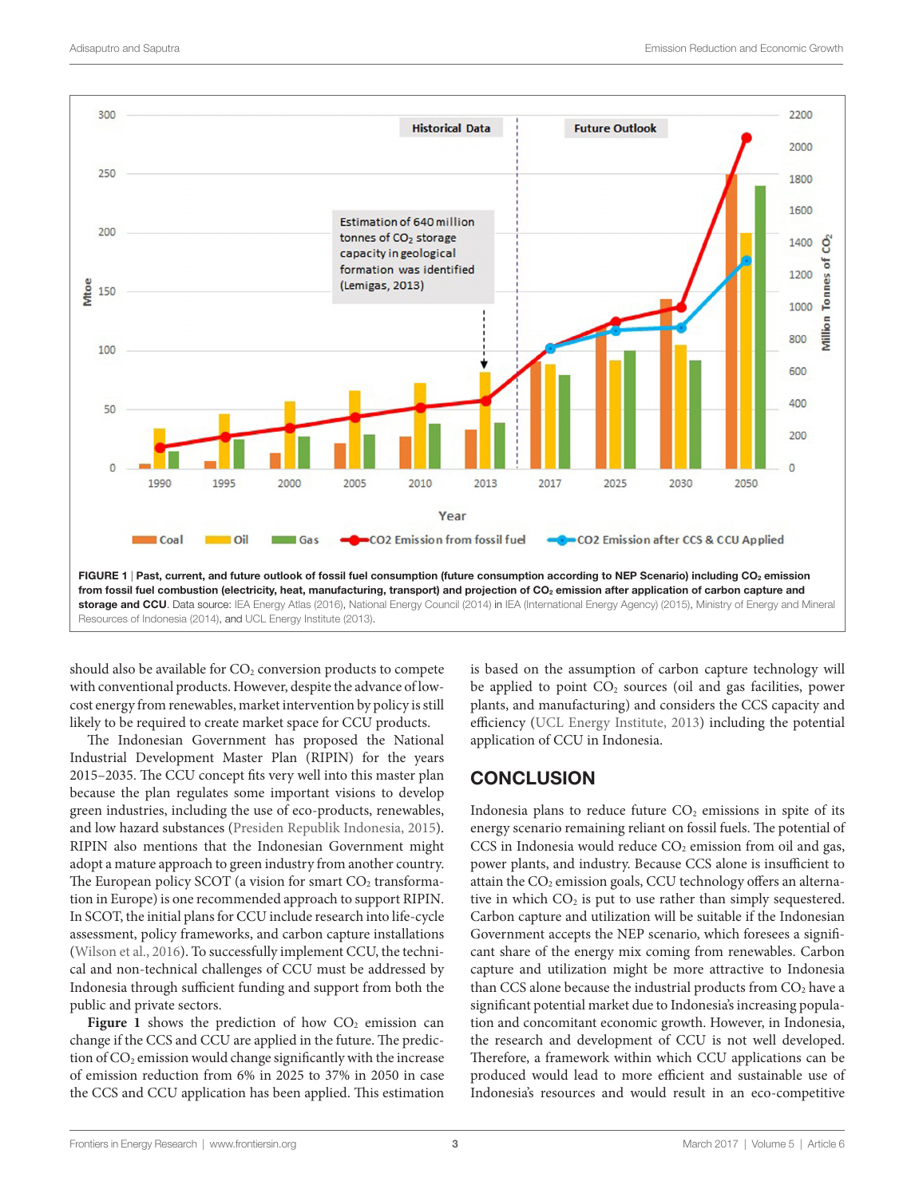

<span id="page-2-0"></span>should also be available for  $CO<sub>2</sub>$  conversion products to compete with conventional products. However, despite the advance of lowcost energy from renewables, market intervention by policy is still likely to be required to create market space for CCU products.

The Indonesian Government has proposed the National Industrial Development Master Plan (RIPIN) for the years 2015–2035. The CCU concept fits very well into this master plan because the plan regulates some important visions to develop green industries, including the use of eco-products, renewables, and low hazard substances ([Presiden Republik Indonesia, 2015\)](#page-3-14). RIPIN also mentions that the Indonesian Government might adopt a mature approach to green industry from another country. The European policy SCOT (a vision for smart  $CO<sub>2</sub>$  transformation in Europe) is one recommended approach to support RIPIN. In SCOT, the initial plans for CCU include research into life-cycle assessment, policy frameworks, and carbon capture installations ([Wilson et al., 2016](#page-3-15)). To successfully implement CCU, the technical and non-technical challenges of CCU must be addressed by Indonesia through sufficient funding and support from both the public and private sectors.

**Figure 1** shows the prediction of how  $CO<sub>2</sub>$  emission can change if the CCS and CCU are applied in the future. The prediction of  $CO<sub>2</sub>$  emission would change significantly with the increase of emission reduction from 6% in 2025 to 37% in 2050 in case the CCS and CCU application has been applied. This estimation is based on the assumption of carbon capture technology will be applied to point CO<sub>2</sub> sources (oil and gas facilities, power plants, and manufacturing) and considers the CCS capacity and efficiency [\(UCL Energy Institute, 2013](#page-3-13)) including the potential application of CCU in Indonesia.

## **CONCLUSION**

Indonesia plans to reduce future  $CO<sub>2</sub>$  emissions in spite of its energy scenario remaining reliant on fossil fuels. The potential of  $CCS$  in Indonesia would reduce  $CO<sub>2</sub>$  emission from oil and gas, power plants, and industry. Because CCS alone is insufficient to attain the CO<sub>2</sub> emission goals, CCU technology offers an alternative in which  $CO<sub>2</sub>$  is put to use rather than simply sequestered. Carbon capture and utilization will be suitable if the Indonesian Government accepts the NEP scenario, which foresees a significant share of the energy mix coming from renewables. Carbon capture and utilization might be more attractive to Indonesia than CCS alone because the industrial products from  $CO<sub>2</sub>$  have a significant potential market due to Indonesia's increasing population and concomitant economic growth. However, in Indonesia, the research and development of CCU is not well developed. Therefore, a framework within which CCU applications can be produced would lead to more efficient and sustainable use of Indonesia's resources and would result in an eco-competitive